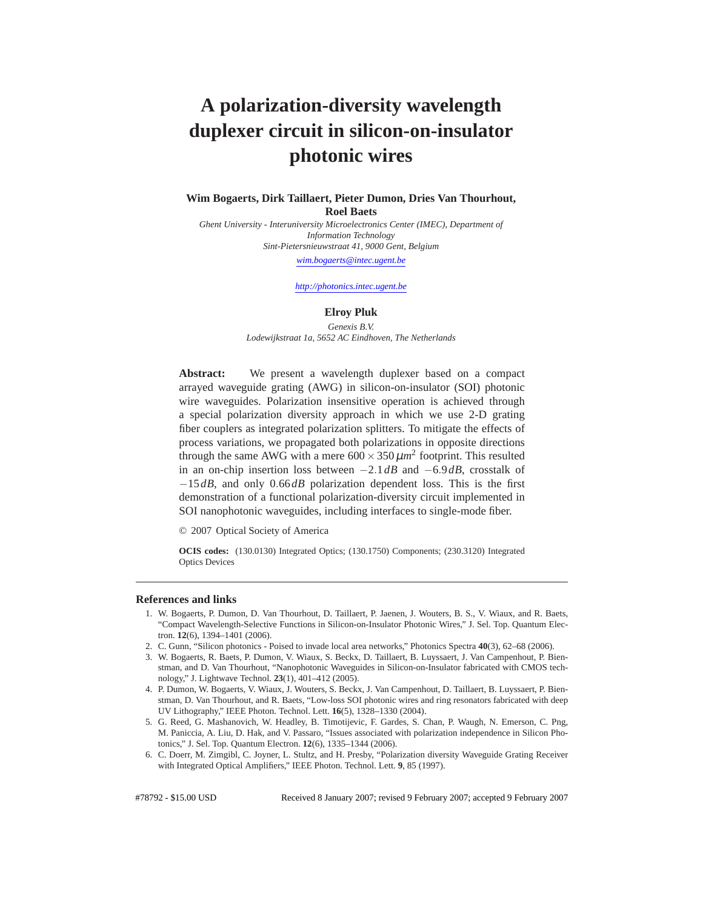# **A polarization-diversity wavelength duplexer circuit in silicon-on-insulator photonic wires**

**Wim Bogaerts, Dirk Taillaert, Pieter Dumon, Dries Van Thourhout, Roel Baets**

*Ghent University - Interuniversity Microelectronics Center (IMEC), Department of Information Technology Sint-Pietersnieuwstraat 41, 9000 Gent, Belgium*

*wim.bogaerts@intec.ugent.be*

*http://photonics.intec.ugent.be*

#### **Elroy Pluk**

*Genexis B.V. Lodewijkstraat 1a, 5652 AC Eindhoven, The Netherlands*

**Abstract:** We present a wavelength duplexer based on a compact arrayed waveguide grating (AWG) in silicon-on-insulator (SOI) photonic wire waveguides. Polarization insensitive operation is achieved through a special polarization diversity approach in which we use 2-D grating fiber couplers as integrated polarization splitters. To mitigate the effects of process variations, we propagated both polarizations in opposite directions through the same AWG with a mere  $600 \times 350 \mu m^2$  footprint. This resulted in an on-chip insertion loss between −2.1*dB* and −6.9*dB*, crosstalk of −15*dB*, and only 0.66*dB* polarization dependent loss. This is the first demonstration of a functional polarization-diversity circuit implemented in SOI nanophotonic waveguides, including interfaces to single-mode fiber.

© 2007 Optical Society of America

**OCIS codes:** (130.0130) Integrated Optics; (130.1750) Components; (230.3120) Integrated Optics Devices

#### **References and links**

- 1. W. Bogaerts, P. Dumon, D. Van Thourhout, D. Taillaert, P. Jaenen, J. Wouters, B. S., V. Wiaux, and R. Baets, "Compact Wavelength-Selective Functions in Silicon-on-Insulator Photonic Wires," J. Sel. Top. Quantum Electron. **12**(6), 1394–1401 (2006).
- 2. C. Gunn, "Silicon photonics Poised to invade local area networks," Photonics Spectra **40**(3), 62–68 (2006).
- 3. W. Bogaerts, R. Baets, P. Dumon, V. Wiaux, S. Beckx, D. Taillaert, B. Luyssaert, J. Van Campenhout, P. Bienstman, and D. Van Thourhout, "Nanophotonic Waveguides in Silicon-on-Insulator fabricated with CMOS technology," J. Lightwave Technol. **23**(1), 401–412 (2005).
- 4. P. Dumon, W. Bogaerts, V. Wiaux, J. Wouters, S. Beckx, J. Van Campenhout, D. Taillaert, B. Luyssaert, P. Bienstman, D. Van Thourhout, and R. Baets, "Low-loss SOI photonic wires and ring resonators fabricated with deep UV Lithography," IEEE Photon. Technol. Lett. **16**(5), 1328–1330 (2004).
- 5. G. Reed, G. Mashanovich, W. Headley, B. Timotijevic, F. Gardes, S. Chan, P. Waugh, N. Emerson, C. Png, M. Paniccia, A. Liu, D. Hak, and V. Passaro, "Issues associated with polarization independence in Silicon Photonics," J. Sel. Top. Quantum Electron. **12**(6), 1335–1344 (2006).
- 6. C. Doerr, M. Zimgibl, C. Joyner, L. Stultz, and H. Presby, "Polarization diversity Waveguide Grating Receiver with Integrated Optical Amplifiers," IEEE Photon. Technol. Lett. **9**, 85 (1997).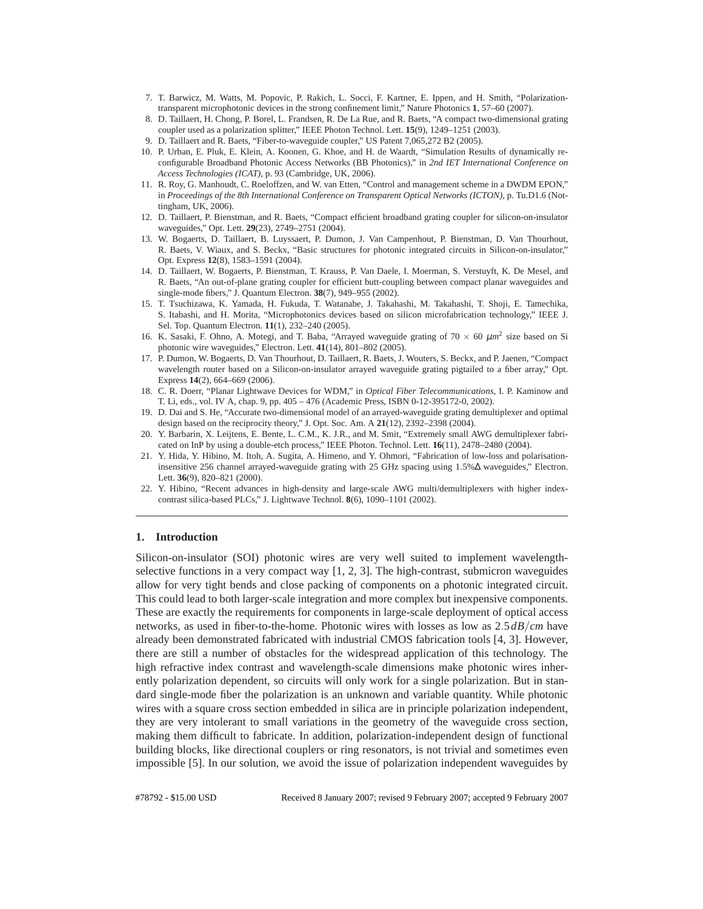- 7. T. Barwicz, M. Watts, M. Popovic, P. Rakich, L. Socci, F. Kartner, E. Ippen, and H. Smith, "Polarizationtransparent microphotonic devices in the strong confinement limit," Nature Photonics **1**, 57–60 (2007).
- 8. D. Taillaert, H. Chong, P. Borel, L. Frandsen, R. De La Rue, and R. Baets, "A compact two-dimensional grating coupler used as a polarization splitter," IEEE Photon Technol. Lett. **15**(9), 1249–1251 (2003).
- 9. D. Taillaert and R. Baets, "Fiber-to-waveguide coupler," US Patent 7,065,272 B2 (2005).
- 10. P. Urban, E. Pluk, E. Klein, A. Koonen, G. Khoe, and H. de Waardt, "Simulation Results of dynamically reconfigurable Broadband Photonic Access Networks (BB Photonics)," in *2nd IET International Conference on Access Technologies (ICAT)*, p. 93 (Cambridge, UK, 2006).
- 11. R. Roy, G. Manhoudt, C. Roeloffzen, and W. van Etten, "Control and management scheme in a DWDM EPON," in *Proceedings of the 8th International Conference on Transparent Optical Networks (ICTON)*, p. Tu.D1.6 (Nottingham, UK, 2006).
- 12. D. Taillaert, P. Bienstman, and R. Baets, "Compact efficient broadband grating coupler for silicon-on-insulator waveguides," Opt. Lett. **29**(23), 2749–2751 (2004).
- 13. W. Bogaerts, D. Taillaert, B. Luyssaert, P. Dumon, J. Van Campenhout, P. Bienstman, D. Van Thourhout, R. Baets, V. Wiaux, and S. Beckx, "Basic structures for photonic integrated circuits in Silicon-on-insulator," Opt. Express **12**(8), 1583–1591 (2004).
- 14. D. Taillaert, W. Bogaerts, P. Bienstman, T. Krauss, P. Van Daele, I. Moerman, S. Verstuyft, K. De Mesel, and R. Baets, "An out-of-plane grating coupler for efficient butt-coupling between compact planar waveguides and single-mode fibers," J. Quantum Electron. **38**(7), 949–955 (2002).
- 15. T. Tsuchizawa, K. Yamada, H. Fukuda, T. Watanabe, J. Takahashi, M. Takahashi, T. Shoji, E. Tamechika, S. Itabashi, and H. Morita, "Microphotonics devices based on silicon microfabrication technology," IEEE J. Sel. Top. Quantum Electron. **11**(1), 232–240 (2005).
- 16. K. Sasaki, F. Ohno, A. Motegi, and T. Baba, "Arrayed waveguide grating of  $70 \times 60 \ \mu m^2$  size based on Si photonic wire waveguides," Electron. Lett. **41**(14), 801–802 (2005).
- 17. P. Dumon, W. Bogaerts, D. Van Thourhout, D. Taillaert, R. Baets, J. Wouters, S. Beckx, and P. Jaenen, "Compact wavelength router based on a Silicon-on-insulator arrayed waveguide grating pigtailed to a fiber array," Opt. Express **14**(2), 664–669 (2006).
- 18. C. R. Doerr, "Planar Lightwave Devices for WDM," in *Optical Fiber Telecommunications*, I. P. Kaminow and T. Li, eds., vol. IV A, chap. 9, pp. 405 – 476 (Academic Press, ISBN 0-12-395172-0, 2002).
- 19. D. Dai and S. He, "Accurate two-dimensional model of an arrayed-waveguide grating demultiplexer and optimal design based on the reciprocity theory," J. Opt. Soc. Am. A **21**(12), 2392–2398 (2004).
- 20. Y. Barbarin, X. Leijtens, E. Bente, L. C.M., K. J.R., and M. Smit, "Extremely small AWG demultiplexer fabricated on InP by using a double-etch process," IEEE Photon. Technol. Lett. **16**(11), 2478–2480 (2004).
- 21. Y. Hida, Y. Hibino, M. Itoh, A. Sugita, A. Himeno, and Y. Ohmori, "Fabrication of low-loss and polarisationinsensitive 256 channel arrayed-waveguide grating with 25 GHz spacing using 1.5%∆ waveguides," Electron. Lett. **36**(9), 820–821 (2000).
- 22. Y. Hibino, "Recent advances in high-density and large-scale AWG multi/demultiplexers with higher indexcontrast silica-based PLCs," J. Lightwave Technol. **8**(6), 1090–1101 (2002).

# **1. Introduction**

Silicon-on-insulator (SOI) photonic wires are very well suited to implement wavelengthselective functions in a very compact way  $[1, 2, 3]$ . The high-contrast, submicron waveguides allow for very tight bends and close packing of components on a photonic integrated circuit. This could lead to both larger-scale integration and more complex but inexpensive components. These are exactly the requirements for components in large-scale deployment of optical access networks, as used in fiber-to-the-home. Photonic wires with losses as low as 2.5*dB*/*cm* have already been demonstrated fabricated with industrial CMOS fabrication tools [4, 3]. However, there are still a number of obstacles for the widespread application of this technology. The high refractive index contrast and wavelength-scale dimensions make photonic wires inherently polarization dependent, so circuits will only work for a single polarization. But in standard single-mode fiber the polarization is an unknown and variable quantity. While photonic wires with a square cross section embedded in silica are in principle polarization independent, they are very intolerant to small variations in the geometry of the waveguide cross section, making them difficult to fabricate. In addition, polarization-independent design of functional building blocks, like directional couplers or ring resonators, is not trivial and sometimes even impossible [5]. In our solution, we avoid the issue of polarization independent waveguides by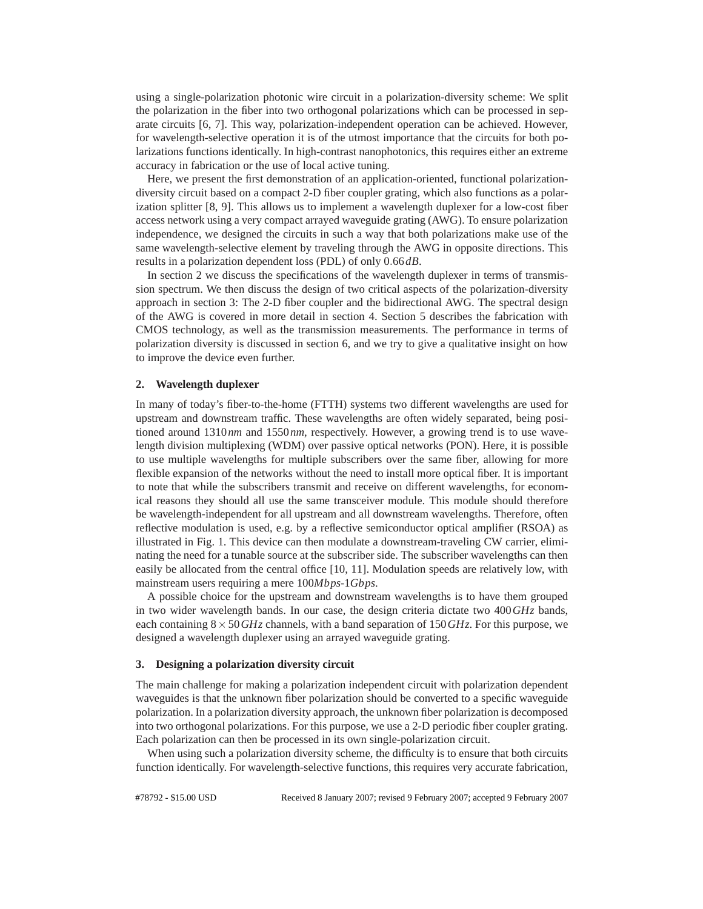using a single-polarization photonic wire circuit in a polarization-diversity scheme: We split the polarization in the fiber into two orthogonal polarizations which can be processed in separate circuits [6, 7]. This way, polarization-independent operation can be achieved. However, for wavelength-selective operation it is of the utmost importance that the circuits for both polarizations functions identically. In high-contrast nanophotonics, this requires either an extreme accuracy in fabrication or the use of local active tuning.

Here, we present the first demonstration of an application-oriented, functional polarizationdiversity circuit based on a compact 2-D fiber coupler grating, which also functions as a polarization splitter [8, 9]. This allows us to implement a wavelength duplexer for a low-cost fiber access network using a very compact arrayed waveguide grating (AWG). To ensure polarization independence, we designed the circuits in such a way that both polarizations make use of the same wavelength-selective element by traveling through the AWG in opposite directions. This results in a polarization dependent loss (PDL) of only 0.66*dB*.

In section 2 we discuss the specifications of the wavelength duplexer in terms of transmission spectrum. We then discuss the design of two critical aspects of the polarization-diversity approach in section 3: The 2-D fiber coupler and the bidirectional AWG. The spectral design of the AWG is covered in more detail in section 4. Section 5 describes the fabrication with CMOS technology, as well as the transmission measurements. The performance in terms of polarization diversity is discussed in section 6, and we try to give a qualitative insight on how to improve the device even further.

## **2. Wavelength duplexer**

In many of today's fiber-to-the-home (FTTH) systems two different wavelengths are used for upstream and downstream traffic. These wavelengths are often widely separated, being positioned around 1310*nm* and 1550*nm*, respectively. However, a growing trend is to use wavelength division multiplexing (WDM) over passive optical networks (PON). Here, it is possible to use multiple wavelengths for multiple subscribers over the same fiber, allowing for more flexible expansion of the networks without the need to install more optical fiber. It is important to note that while the subscribers transmit and receive on different wavelengths, for economical reasons they should all use the same transceiver module. This module should therefore be wavelength-independent for all upstream and all downstream wavelengths. Therefore, often reflective modulation is used, e.g. by a reflective semiconductor optical amplifier (RSOA) as illustrated in Fig. 1. This device can then modulate a downstream-traveling CW carrier, eliminating the need for a tunable source at the subscriber side. The subscriber wavelengths can then easily be allocated from the central office [10, 11]. Modulation speeds are relatively low, with mainstream users requiring a mere 100*Mbps*-1*Gbps*.

A possible choice for the upstream and downstream wavelengths is to have them grouped in two wider wavelength bands. In our case, the design criteria dictate two 400*GHz* bands, each containing  $8 \times 50$  *GHz* channels, with a band separation of 150 *GHz*. For this purpose, we designed a wavelength duplexer using an arrayed waveguide grating.

#### **3. Designing a polarization diversity circuit**

The main challenge for making a polarization independent circuit with polarization dependent waveguides is that the unknown fiber polarization should be converted to a specific waveguide polarization. In a polarization diversity approach, the unknown fiber polarization is decomposed into two orthogonal polarizations. For this purpose, we use a 2-D periodic fiber coupler grating. Each polarization can then be processed in its own single-polarization circuit.

When using such a polarization diversity scheme, the difficulty is to ensure that both circuits function identically. For wavelength-selective functions, this requires very accurate fabrication,

| #78792 - \$15.00 USD | Received 8 January 2007; revised 9 February 2007; accepted 9 February 2007 |
|----------------------|----------------------------------------------------------------------------|
| $(C)$ 2007 OSA       | 19 February 2007 / Vol. 15, No. 4 / OPTICS EXPRESS 1569                    |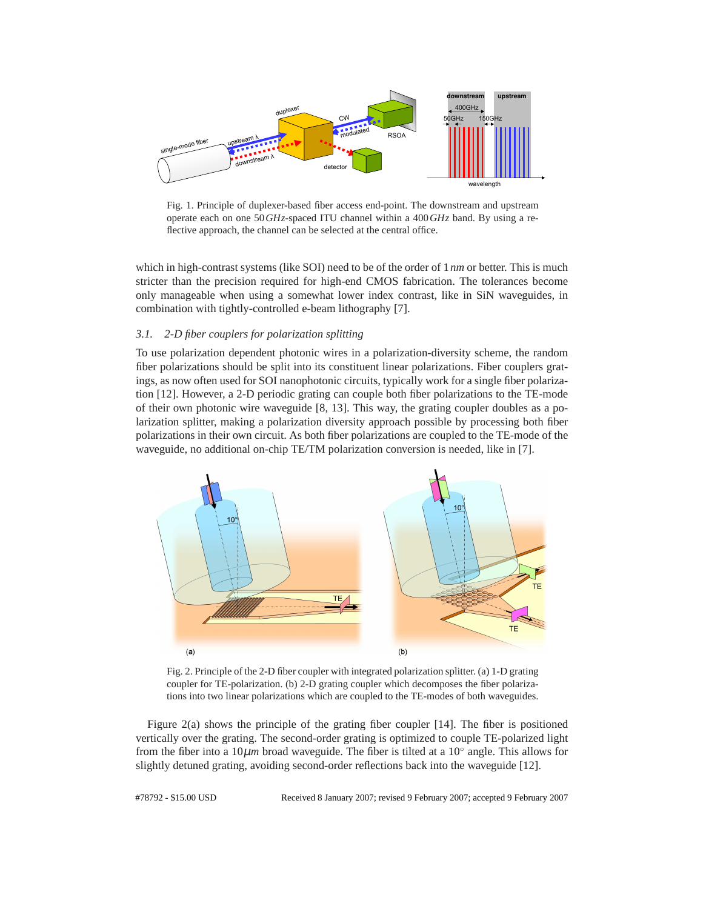

Fig. 1. Principle of duplexer-based fiber access end-point. The downstream and upstream operate each on one 50*GHz*-spaced ITU channel within a 400*GHz* band. By using a reflective approach, the channel can be selected at the central office.

which in high-contrast systems (like SOI) need to be of the order of 1*nm* or better. This is much stricter than the precision required for high-end CMOS fabrication. The tolerances become only manageable when using a somewhat lower index contrast, like in SiN waveguides, in combination with tightly-controlled e-beam lithography [7].

# *3.1. 2-D fiber couplers for polarization splitting*

To use polarization dependent photonic wires in a polarization-diversity scheme, the random fiber polarizations should be split into its constituent linear polarizations. Fiber couplers gratings, as now often used for SOI nanophotonic circuits, typically work for a single fiber polarization [12]. However, a 2-D periodic grating can couple both fiber polarizations to the TE-mode of their own photonic wire waveguide [8, 13]. This way, the grating coupler doubles as a polarization splitter, making a polarization diversity approach possible by processing both fiber polarizations in their own circuit. As both fiber polarizations are coupled to the TE-mode of the waveguide, no additional on-chip TE/TM polarization conversion is needed, like in [7].



Fig. 2. Principle of the 2-D fiber coupler with integrated polarization splitter. (a) 1-D grating coupler for TE-polarization. (b) 2-D grating coupler which decomposes the fiber polarizations into two linear polarizations which are coupled to the TE-modes of both waveguides.

Figure 2(a) shows the principle of the grating fiber coupler [14]. The fiber is positioned vertically over the grating. The second-order grating is optimized to couple TE-polarized light from the fiber into a  $10\mu m$  broad waveguide. The fiber is tilted at a  $10°$  angle. This allows for slightly detuned grating, avoiding second-order reflections back into the waveguide [12].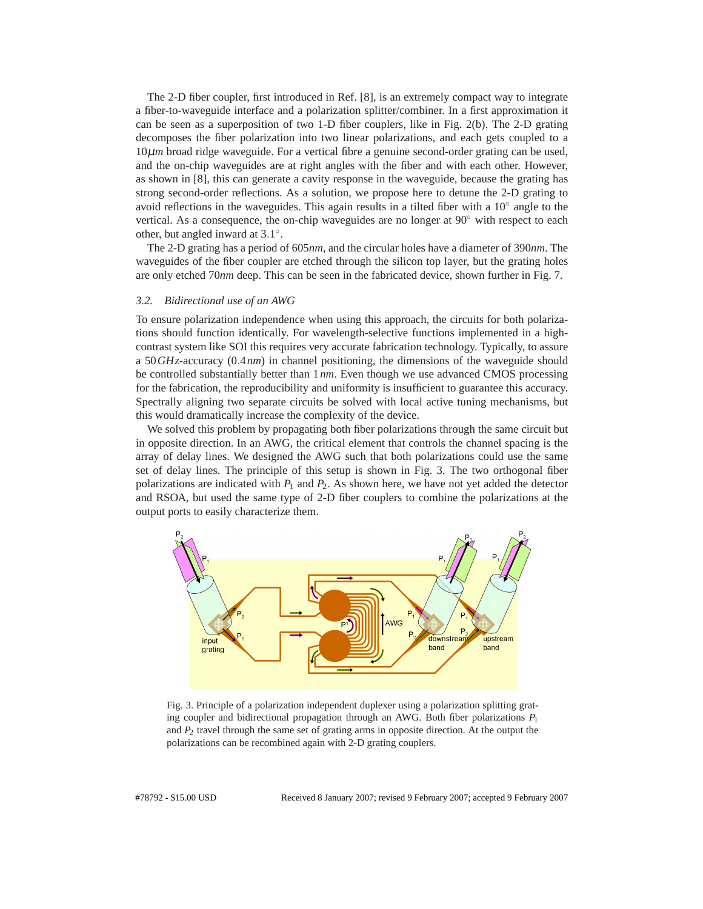The 2-D fiber coupler, first introduced in Ref. [8], is an extremely compact way to integrate a fiber-to-waveguide interface and a polarization splitter/combiner. In a first approximation it can be seen as a superposition of two 1-D fiber couplers, like in Fig. 2(b). The 2-D grating decomposes the fiber polarization into two linear polarizations, and each gets coupled to a 10µ*m* broad ridge waveguide. For a vertical fibre a genuine second-order grating can be used, and the on-chip waveguides are at right angles with the fiber and with each other. However, as shown in [8], this can generate a cavity response in the waveguide, because the grating has strong second-order reflections. As a solution, we propose here to detune the 2-D grating to avoid reflections in the waveguides. This again results in a tilted fiber with a 10° angle to the vertical. As a consequence, the on-chip waveguides are no longer at  $90°$  with respect to each other, but angled inward at  $3.1^\circ$ .

The 2-D grating has a period of 605*nm*, and the circular holes have a diameter of 390*nm*. The waveguides of the fiber coupler are etched through the silicon top layer, but the grating holes are only etched 70*nm* deep. This can be seen in the fabricated device, shown further in Fig. 7.

#### *3.2. Bidirectional use of an AWG*

To ensure polarization independence when using this approach, the circuits for both polarizations should function identically. For wavelength-selective functions implemented in a highcontrast system like SOI this requires very accurate fabrication technology. Typically, to assure a 50*GHz*-accuracy (0.4*nm*) in channel positioning, the dimensions of the waveguide should be controlled substantially better than 1*nm*. Even though we use advanced CMOS processing for the fabrication, the reproducibility and uniformity is insufficient to guarantee this accuracy. Spectrally aligning two separate circuits be solved with local active tuning mechanisms, but this would dramatically increase the complexity of the device.

We solved this problem by propagating both fiber polarizations through the same circuit but in opposite direction. In an AWG, the critical element that controls the channel spacing is the array of delay lines. We designed the AWG such that both polarizations could use the same set of delay lines. The principle of this setup is shown in Fig. 3. The two orthogonal fiber polarizations are indicated with  $P_1$  and  $P_2$ . As shown here, we have not yet added the detector and RSOA, but used the same type of 2-D fiber couplers to combine the polarizations at the output ports to easily characterize them.



Fig. 3. Principle of a polarization independent duplexer using a polarization splitting grating coupler and bidirectional propagation through an AWG. Both fiber polarizations  $P_1$ and  $P_2$  travel through the same set of grating arms in opposite direction. At the output the polarizations can be recombined again with 2-D grating couplers.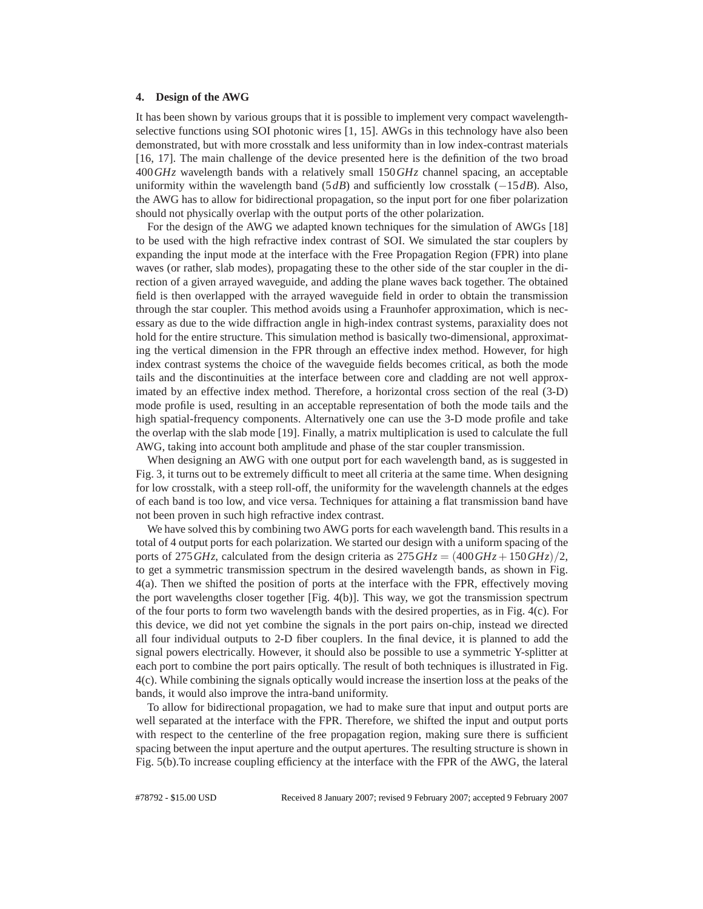#### **4. Design of the AWG**

It has been shown by various groups that it is possible to implement very compact wavelengthselective functions using SOI photonic wires [1, 15]. AWGs in this technology have also been demonstrated, but with more crosstalk and less uniformity than in low index-contrast materials [16, 17]. The main challenge of the device presented here is the definition of the two broad 400*GHz* wavelength bands with a relatively small 150*GHz* channel spacing, an acceptable uniformity within the wavelength band  $(5dB)$  and sufficiently low crosstalk  $(-15dB)$ . Also, the AWG has to allow for bidirectional propagation, so the input port for one fiber polarization should not physically overlap with the output ports of the other polarization.

For the design of the AWG we adapted known techniques for the simulation of AWGs [18] to be used with the high refractive index contrast of SOI. We simulated the star couplers by expanding the input mode at the interface with the Free Propagation Region (FPR) into plane waves (or rather, slab modes), propagating these to the other side of the star coupler in the direction of a given arrayed waveguide, and adding the plane waves back together. The obtained field is then overlapped with the arrayed waveguide field in order to obtain the transmission through the star coupler. This method avoids using a Fraunhofer approximation, which is necessary as due to the wide diffraction angle in high-index contrast systems, paraxiality does not hold for the entire structure. This simulation method is basically two-dimensional, approximating the vertical dimension in the FPR through an effective index method. However, for high index contrast systems the choice of the waveguide fields becomes critical, as both the mode tails and the discontinuities at the interface between core and cladding are not well approximated by an effective index method. Therefore, a horizontal cross section of the real (3-D) mode profile is used, resulting in an acceptable representation of both the mode tails and the high spatial-frequency components. Alternatively one can use the 3-D mode profile and take the overlap with the slab mode [19]. Finally, a matrix multiplication is used to calculate the full AWG, taking into account both amplitude and phase of the star coupler transmission.

When designing an AWG with one output port for each wavelength band, as is suggested in Fig. 3, it turns out to be extremely difficult to meet all criteria at the same time. When designing for low crosstalk, with a steep roll-off, the uniformity for the wavelength channels at the edges of each band is too low, and vice versa. Techniques for attaining a flat transmission band have not been proven in such high refractive index contrast.

We have solved this by combining two AWG ports for each wavelength band. This results in a total of 4 output ports for each polarization. We started our design with a uniform spacing of the ports of 275*GHz*, calculated from the design criteria as  $275 GHz = (400 GHz + 150 GHz)/2$ , to get a symmetric transmission spectrum in the desired wavelength bands, as shown in Fig. 4(a). Then we shifted the position of ports at the interface with the FPR, effectively moving the port wavelengths closer together [Fig. 4(b)]. This way, we got the transmission spectrum of the four ports to form two wavelength bands with the desired properties, as in Fig. 4(c). For this device, we did not yet combine the signals in the port pairs on-chip, instead we directed all four individual outputs to 2-D fiber couplers. In the final device, it is planned to add the signal powers electrically. However, it should also be possible to use a symmetric Y-splitter at each port to combine the port pairs optically. The result of both techniques is illustrated in Fig. 4(c). While combining the signals optically would increase the insertion loss at the peaks of the bands, it would also improve the intra-band uniformity.

To allow for bidirectional propagation, we had to make sure that input and output ports are well separated at the interface with the FPR. Therefore, we shifted the input and output ports with respect to the centerline of the free propagation region, making sure there is sufficient spacing between the input aperture and the output apertures. The resulting structure is shown in Fig. 5(b).To increase coupling efficiency at the interface with the FPR of the AWG, the lateral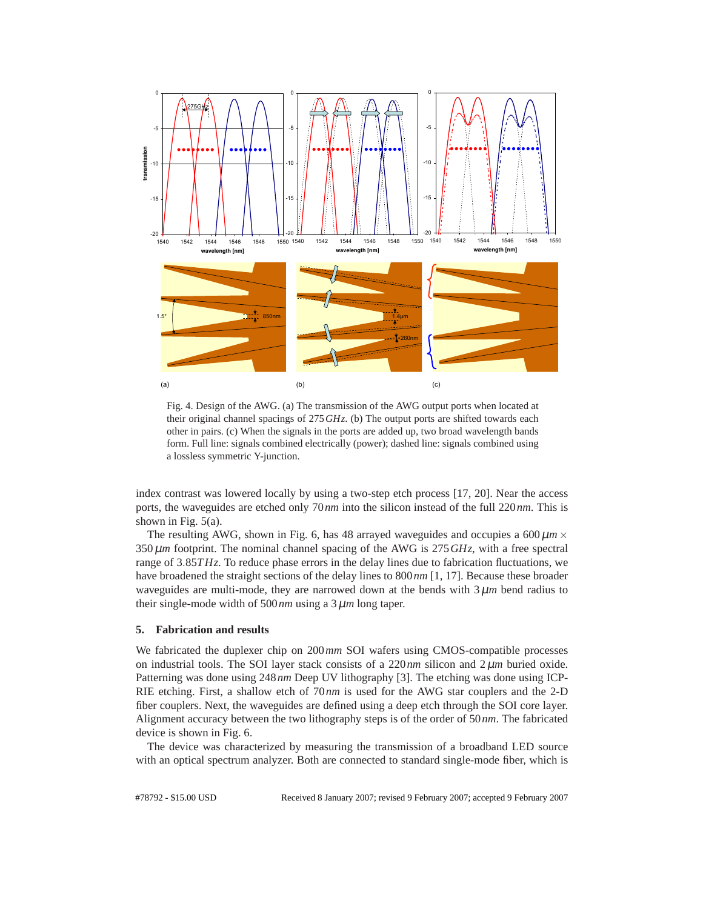

Fig. 4. Design of the AWG. (a) The transmission of the AWG output ports when located at their original channel spacings of 275*GHz*. (b) The output ports are shifted towards each other in pairs. (c) When the signals in the ports are added up, two broad wavelength bands form. Full line: signals combined electrically (power); dashed line: signals combined using a lossless symmetric Y-junction.

index contrast was lowered locally by using a two-step etch process [17, 20]. Near the access ports, the waveguides are etched only 70*nm* into the silicon instead of the full 220*nm*. This is shown in Fig. 5(a).

The resulting AWG, shown in Fig. 6, has 48 arrayed waveguides and occupies a  $600 \mu m \times$ 350µ*m* footprint. The nominal channel spacing of the AWG is 275*GHz*, with a free spectral range of 3.85*T Hz*. To reduce phase errors in the delay lines due to fabrication fluctuations, we have broadened the straight sections of the delay lines to 800*nm* [1, 17]. Because these broader waveguides are multi-mode, they are narrowed down at the bends with  $3\mu m$  bend radius to their single-mode width of  $500 \text{ nm}$  using a  $3 \mu \text{ m}$  long taper.

#### **5. Fabrication and results**

We fabricated the duplexer chip on 200*mm* SOI wafers using CMOS-compatible processes on industrial tools. The SOI layer stack consists of a  $220 \text{ nm}$  silicon and  $2 \mu \text{ m}$  buried oxide. Patterning was done using 248*nm* Deep UV lithography [3]. The etching was done using ICP-RIE etching. First, a shallow etch of 70*nm* is used for the AWG star couplers and the 2-D fiber couplers. Next, the waveguides are defined using a deep etch through the SOI core layer. Alignment accuracy between the two lithography steps is of the order of 50*nm*. The fabricated device is shown in Fig. 6.

The device was characterized by measuring the transmission of a broadband LED source with an optical spectrum analyzer. Both are connected to standard single-mode fiber, which is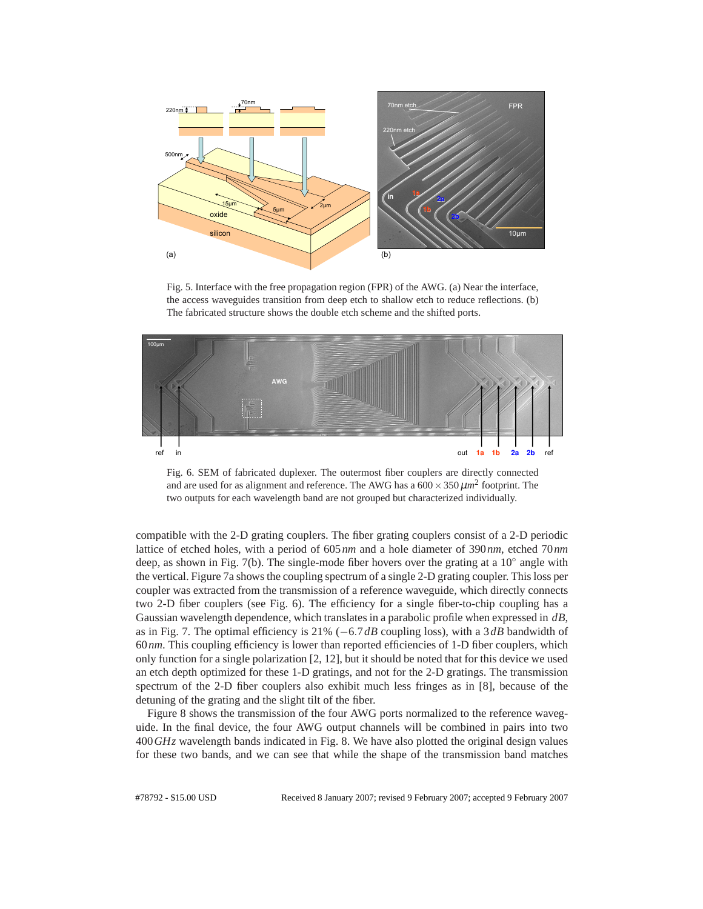

Fig. 5. Interface with the free propagation region (FPR) of the AWG. (a) Near the interface, the access waveguides transition from deep etch to shallow etch to reduce reflections. (b) The fabricated structure shows the double etch scheme and the shifted ports.



Fig. 6. SEM of fabricated duplexer. The outermost fiber couplers are directly connected and are used for as alignment and reference. The AWG has a  $600 \times 350 \,\mu m^2$  footprint. The two outputs for each wavelength band are not grouped but characterized individually.

compatible with the 2-D grating couplers. The fiber grating couplers consist of a 2-D periodic lattice of etched holes, with a period of 605*nm* and a hole diameter of 390*nm*, etched 70*nm* deep, as shown in Fig. 7(b). The single-mode fiber hovers over the grating at a  $10^\circ$  angle with the vertical. Figure 7a shows the coupling spectrum of a single 2-D grating coupler. This loss per coupler was extracted from the transmission of a reference waveguide, which directly connects two 2-D fiber couplers (see Fig. 6). The efficiency for a single fiber-to-chip coupling has a Gaussian wavelength dependence, which translates in a parabolic profile when expressed in *dB*, as in Fig. 7. The optimal efficiency is 21% (−6.7*dB* coupling loss), with a 3*dB* bandwidth of 60*nm*. This coupling efficiency is lower than reported efficiencies of 1-D fiber couplers, which only function for a single polarization [2, 12], but it should be noted that for this device we used an etch depth optimized for these 1-D gratings, and not for the 2-D gratings. The transmission spectrum of the 2-D fiber couplers also exhibit much less fringes as in [8], because of the detuning of the grating and the slight tilt of the fiber.

Figure 8 shows the transmission of the four AWG ports normalized to the reference waveguide. In the final device, the four AWG output channels will be combined in pairs into two 400*GHz* wavelength bands indicated in Fig. 8. We have also plotted the original design values for these two bands, and we can see that while the shape of the transmission band matches

#78792 - \$15.00 USD Received 8 January 2007; revised 9 February 2007; accepted 9 February 2007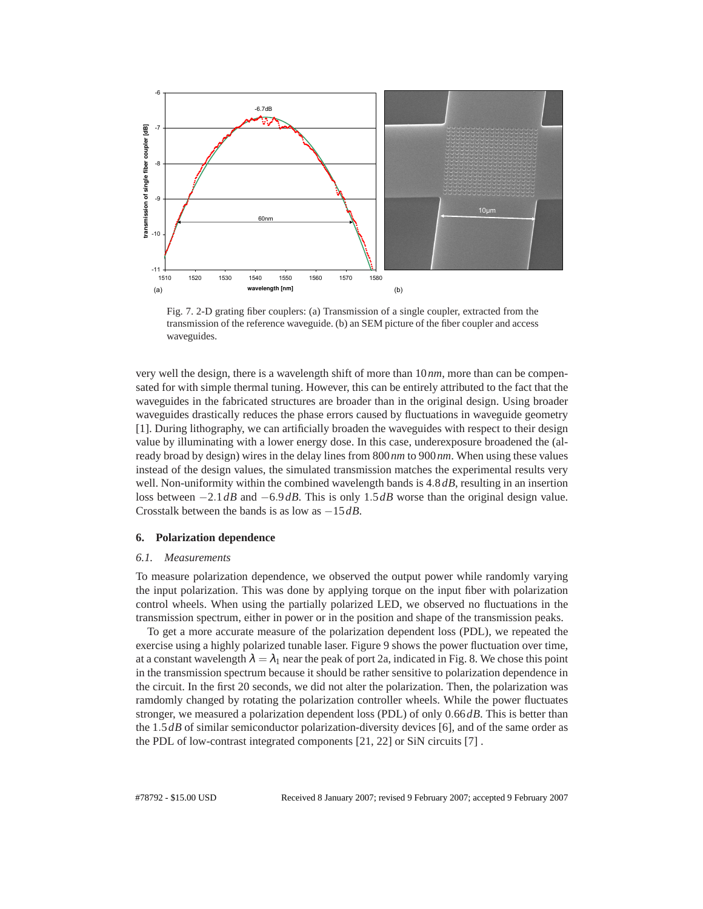

Fig. 7. 2-D grating fiber couplers: (a) Transmission of a single coupler, extracted from the transmission of the reference waveguide. (b) an SEM picture of the fiber coupler and access waveguides.

very well the design, there is a wavelength shift of more than 10*nm*, more than can be compensated for with simple thermal tuning. However, this can be entirely attributed to the fact that the waveguides in the fabricated structures are broader than in the original design. Using broader waveguides drastically reduces the phase errors caused by fluctuations in waveguide geometry [1]. During lithography, we can artificially broaden the waveguides with respect to their design value by illuminating with a lower energy dose. In this case, underexposure broadened the (already broad by design) wires in the delay lines from 800*nm* to 900*nm*. When using these values instead of the design values, the simulated transmission matches the experimental results very well. Non-uniformity within the combined wavelength bands is 4.8*dB*, resulting in an insertion loss between −2.1*dB* and −6.9*dB*. This is only 1.5*dB* worse than the original design value. Crosstalk between the bands is as low as −15*dB*.

#### **6. Polarization dependence**

#### *6.1. Measurements*

To measure polarization dependence, we observed the output power while randomly varying the input polarization. This was done by applying torque on the input fiber with polarization control wheels. When using the partially polarized LED, we observed no fluctuations in the transmission spectrum, either in power or in the position and shape of the transmission peaks.

To get a more accurate measure of the polarization dependent loss (PDL), we repeated the exercise using a highly polarized tunable laser. Figure 9 shows the power fluctuation over time, at a constant wavelength  $\lambda = \lambda_1$  near the peak of port 2a, indicated in Fig. 8. We chose this point in the transmission spectrum because it should be rather sensitive to polarization dependence in the circuit. In the first 20 seconds, we did not alter the polarization. Then, the polarization was ramdomly changed by rotating the polarization controller wheels. While the power fluctuates stronger, we measured a polarization dependent loss (PDL) of only 0.66*dB*. This is better than the 1.5*dB* of similar semiconductor polarization-diversity devices [6], and of the same order as the PDL of low-contrast integrated components  $[21, 22]$  or SiN circuits  $[7]$ .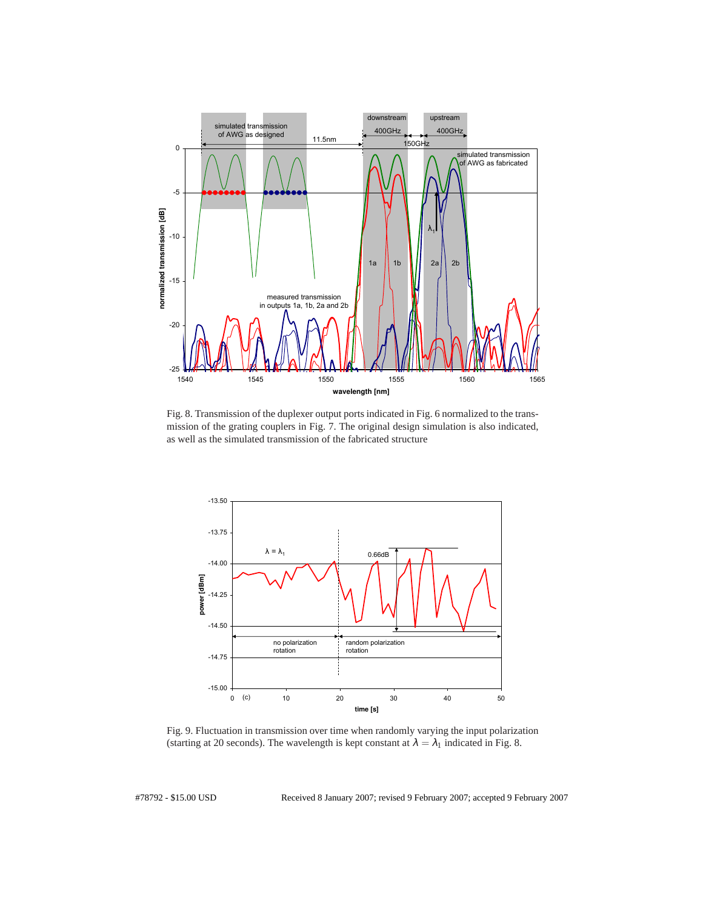

Fig. 8. Transmission of the duplexer output ports indicated in Fig. 6 normalized to the transmission of the grating couplers in Fig. 7. The original design simulation is also indicated, as well as the simulated transmission of the fabricated structure



Fig. 9. Fluctuation in transmission over time when randomly varying the input polarization (starting at 20 seconds). The wavelength is kept constant at  $\lambda = \lambda_1$  indicated in Fig. 8.

#78792 - \$15.00 USD Received 8 January 2007; revised 9 February 2007; accepted 9 February 2007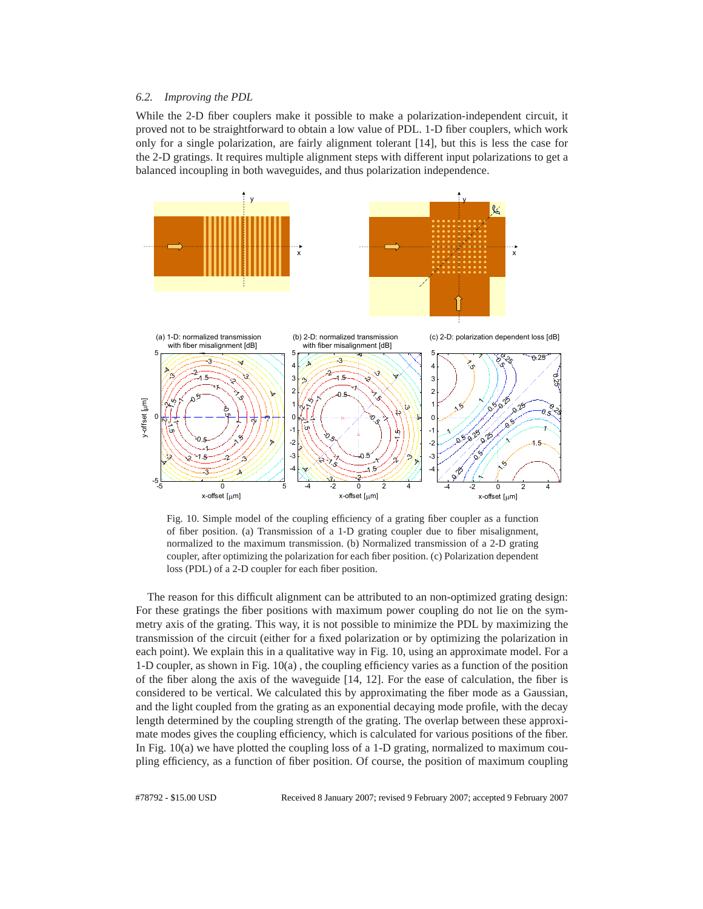#### *6.2. Improving the PDL*

While the 2-D fiber couplers make it possible to make a polarization-independent circuit, it proved not to be straightforward to obtain a low value of PDL. 1-D fiber couplers, which work only for a single polarization, are fairly alignment tolerant [14], but this is less the case for the 2-D gratings. It requires multiple alignment steps with different input polarizations to get a balanced incoupling in both waveguides, and thus polarization independence.



Fig. 10. Simple model of the coupling efficiency of a grating fiber coupler as a function of fiber position. (a) Transmission of a 1-D grating coupler due to fiber misalignment, normalized to the maximum transmission. (b) Normalized transmission of a 2-D grating coupler, after optimizing the polarization for each fiber position. (c) Polarization dependent loss (PDL) of a 2-D coupler for each fiber position.

The reason for this difficult alignment can be attributed to an non-optimized grating design: For these gratings the fiber positions with maximum power coupling do not lie on the symmetry axis of the grating. This way, it is not possible to minimize the PDL by maximizing the transmission of the circuit (either for a fixed polarization or by optimizing the polarization in each point). We explain this in a qualitative way in Fig. 10, using an approximate model. For a 1-D coupler, as shown in Fig. 10(a) , the coupling efficiency varies as a function of the position of the fiber along the axis of the waveguide [14, 12]. For the ease of calculation, the fiber is considered to be vertical. We calculated this by approximating the fiber mode as a Gaussian, and the light coupled from the grating as an exponential decaying mode profile, with the decay length determined by the coupling strength of the grating. The overlap between these approximate modes gives the coupling efficiency, which is calculated for various positions of the fiber. In Fig. 10(a) we have plotted the coupling loss of a 1-D grating, normalized to maximum coupling efficiency, as a function of fiber position. Of course, the position of maximum coupling

#78792 - \$15.00 USD Received 8 January 2007; revised 9 February 2007; accepted 9 February 2007